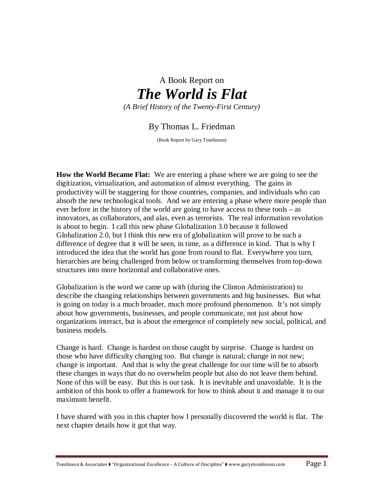# A Book Report on *The World is Flat (A Brief History of the Twenty-First Century)*

## By Thomas L. Friedman

(Book Report by Gary Tomlinson)

**How the World Became Flat:** We are entering a phase where we are going to see the digitization, virtualization, and automation of almost everything. The gains in productivity will be staggering for those countries, companies, and individuals who can absorb the new technological tools. And we are entering a phase where more people than ever before in the history of the world are going to have access to these tools – as innovators, as collaborators, and alas, even as terrorists. The real information revolution is about to begin. I call this new phase Globalization 3.0 because it followed Globalization 2.0, but I think this new era of globalization will prove to be such a difference of degree that it will be seen, in time, as a difference in kind. That is why I introduced the idea that the world has gone from round to flat. Everywhere you turn, hierarchies are being challenged from below or transforming themselves from top-down structures into more horizontal and collaborative ones.

Globalization is the word we came up with (during the Clinton Administration) to describe the changing relationships between governments and big businesses. But what is going on today is a much broader, much more profound phenomenon. It's not simply about how governments, businesses, and people communicate, not just about how organizations interact, but is about the emergence of completely new social, political, and business models.

Change is hard. Change is hardest on those caught by surprise. Change is hardest on those who have difficulty changing too. But change is natural; change in not new; change is important. And that is why the great challenge for our time will be to absorb these changes in ways that do no overwhelm people but also do not leave them behind. None of this will be easy. But this is our task. It is inevitable and unavoidable. It is the ambition of this book to offer a framework for how to think about it and manage it to our maximum benefit.

I have shared with you in this chapter how I personally discovered the world is flat. The next chapter details how it got that way.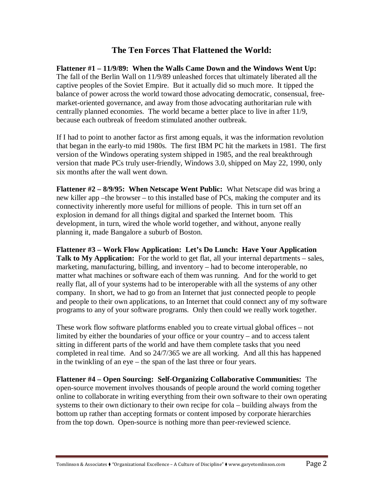### **The Ten Forces That Flattened the World:**

**Flattener #1 – 11/9/89: When the Walls Came Down and the Windows Went Up:** The fall of the Berlin Wall on 11/9/89 unleashed forces that ultimately liberated all the captive peoples of the Soviet Empire. But it actually did so much more. It tipped the balance of power across the world toward those advocating democratic, consensual, freemarket-oriented governance, and away from those advocating authoritarian rule with centrally planned economies. The world became a better place to live in after 11/9, because each outbreak of freedom stimulated another outbreak.

If I had to point to another factor as first among equals, it was the information revolution that began in the early-to mid 1980s. The first IBM PC hit the markets in 1981. The first version of the Windows operating system shipped in 1985, and the real breakthrough version that made PCs truly user-friendly, Windows 3.0, shipped on May 22, 1990, only six months after the wall went down.

**Flattener #2 – 8/9/95: When Netscape Went Public:** What Netscape did was bring a new killer app –the browser – to this installed base of PCs, making the computer and its connectivity inherently more useful for millions of people. This in turn set off an explosion in demand for all things digital and sparked the Internet boom. This development, in turn, wired the whole world together, and without, anyone really planning it, made Bangalore a suburb of Boston.

**Flattener #3 – Work Flow Application: Let's Do Lunch: Have Your Application**  Talk to My Application: For the world to get flat, all your internal departments – sales, marketing, manufacturing, billing, and inventory – had to become interoperable, no matter what machines or software each of them was running. And for the world to get really flat, all of your systems had to be interoperable with all the systems of any other company. In short, we had to go from an Internet that just connected people to people and people to their own applications, to an Internet that could connect any of my software programs to any of your software programs. Only then could we really work together.

These work flow software platforms enabled you to create virtual global offices – not limited by either the boundaries of your office or your country – and to access talent sitting in different parts of the world and have them complete tasks that you need completed in real time. And so 24/7/365 we are all working. And all this has happened in the twinkling of an eye – the span of the last three or four years.

**Flattener #4 – Open Sourcing: Self-Organizing Collaborative Communities:** The open-source movement involves thousands of people around the world coming together online to collaborate in writing everything from their own software to their own operating systems to their own dictionary to their own recipe for cola – building always from the bottom up rather than accepting formats or content imposed by corporate hierarchies from the top down. Open-source is nothing more than peer-reviewed science.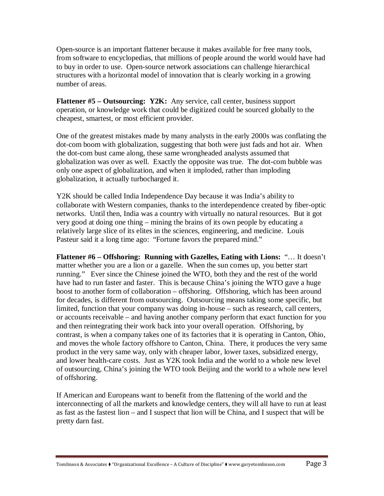Open-source is an important flattener because it makes available for free many tools, from software to encyclopedias, that millions of people around the world would have had to buy in order to use. Open-source network associations can challenge hierarchical structures with a horizontal model of innovation that is clearly working in a growing number of areas.

**Flattener #5 – Outsourcing: Y2K:** Any service, call center, business support operation, or knowledge work that could be digitized could be sourced globally to the cheapest, smartest, or most efficient provider.

One of the greatest mistakes made by many analysts in the early 2000s was conflating the dot-com boom with globalization, suggesting that both were just fads and hot air. When the dot-com bust came along, these same wrongheaded analysts assumed that globalization was over as well. Exactly the opposite was true. The dot-com bubble was only one aspect of globalization, and when it imploded, rather than imploding globalization, it actually turbocharged it.

Y2K should be called India Independence Day because it was India's ability to collaborate with Western companies, thanks to the interdependence created by fiber-optic networks. Until then, India was a country with virtually no natural resources. But it got very good at doing one thing – mining the brains of its own people by educating a relatively large slice of its elites in the sciences, engineering, and medicine. Louis Pasteur said it a long time ago: "Fortune favors the prepared mind."

**Flattener #6 – Offshoring: Running with Gazelles, Eating with Lions:** "… It doesn't matter whether you are a lion or a gazelle. When the sun comes up, you better start running." Ever since the Chinese joined the WTO, both they and the rest of the world have had to run faster and faster. This is because China's joining the WTO gave a huge boost to another form of collaboration – offshoring. Offshoring, which has been around for decades, is different from outsourcing. Outsourcing means taking some specific, but limited, function that your company was doing in-house – such as research, call centers, or accounts receivable – and having another company perform that exact function for you and then reintegrating their work back into your overall operation. Offshoring, by contrast, is when a company takes one of its factories that it is operating in Canton, Ohio, and moves the whole factory offshore to Canton, China. There, it produces the very same product in the very same way, only with cheaper labor, lower taxes, subsidized energy, and lower health-care costs. Just as Y2K took India and the world to a whole new level of outsourcing, China's joining the WTO took Beijing and the world to a whole new level of offshoring.

If American and Europeans want to benefit from the flattening of the world and the interconnecting of all the markets and knowledge centers, they will all have to run at least as fast as the fastest lion – and I suspect that lion will be China, and I suspect that will be pretty darn fast.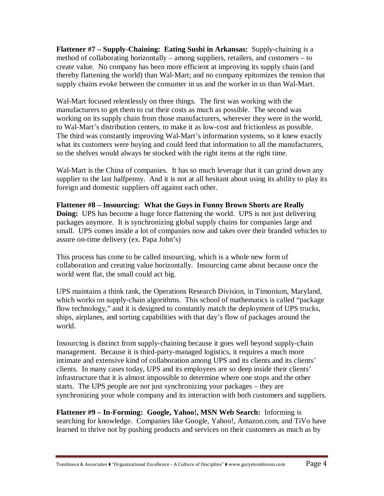**Flattener #7 – Supply-Chaining: Eating Sushi in Arkansas:** Supply-chaining is a method of collaborating horizontally – among suppliers, retailers, and customers – to create value. No company has been more efficient at improving its supply chain (and thereby flattening the world) than Wal-Mart; and no company epitomizes the tension that supply chains evoke between the consumer in us and the worker in us than Wal-Mart.

Wal-Mart focused relentlessly on three things. The first was working with the manufacturers to get them to cut their costs as much as possible. The second was working on its supply chain from those manufacturers, wherever they were in the world, to Wal-Mart's distribution centers, to make it as low-cost and frictionless as possible. The third was constantly improving Wal-Mart's information systems, so it knew exactly what its customers were buying and could feed that information to all the manufacturers, so the shelves would always be stocked with the right items at the right time.

Wal-Mart is the China of companies. It has so much leverage that it can grind down any supplier to the last halfpenny. And it is not at all hesitant about using its ability to play its foreign and domestic suppliers off against each other.

**Flattener #8 – Insourcing: What the Guys in Funny Brown Shorts are Really Doing:** UPS has become a huge force flattening the world. UPS is not just delivering packages anymore. It is synchronizing global supply chains for companies large and small. UPS comes inside a lot of companies now and takes over their branded vehicles to assure on-time delivery (ex. Papa John's)

This process has come to be called insourcing, which is a whole new form of collaboration and creating value horizontally. Insourcing came about because once the world went flat, the small could act big.

UPS maintains a think tank, the Operations Research Division, in Timonium, Maryland, which works on supply-chain algorithms. This school of mathematics is called "package" flow technology," and it is designed to constantly match the deployment of UPS trucks, ships, airplanes, and sorting capabilities with that day's flow of packages around the world.

Insourcing is distinct from supply-chaining because it goes well beyond supply-chain management. Because it is third-party-managed logistics, it requires a much more intimate and extensive kind of collaboration among UPS and its clients and its clients' clients. In many cases today, UPS and its employees are so deep inside their clients' infrastructure that it is almost impossible to determine where one stops and the other starts. The UPS people are not just synchronizing your packages – they are synchronizing your whole company and its interaction with both customers and suppliers.

**Flattener #9 – In-Forming: Google, Yahoo!, MSN Web Search:** Informing is searching for knowledge. Companies like Google, Yahoo!, Amazon.com, and TiVo have learned to thrive not by pushing products and services on their customers as much as by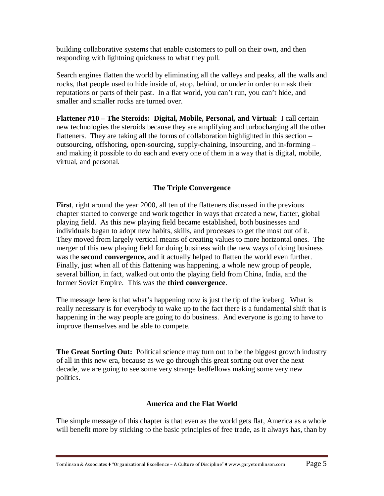building collaborative systems that enable customers to pull on their own, and then responding with lightning quickness to what they pull.

Search engines flatten the world by eliminating all the valleys and peaks, all the walls and rocks, that people used to hide inside of, atop, behind, or under in order to mask their reputations or parts of their past. In a flat world, you can't run, you can't hide, and smaller and smaller rocks are turned over.

**Flattener #10 – The Steroids: Digital, Mobile, Personal, and Virtual:** I call certain new technologies the steroids because they are amplifying and turbocharging all the other flatteners. They are taking all the forms of collaboration highlighted in this section – outsourcing, offshoring, open-sourcing, supply-chaining, insourcing, and in-forming – and making it possible to do each and every one of them in a way that is digital, mobile, virtual, and personal.

#### **The Triple Convergence**

**First**, right around the year 2000, all ten of the flatteners discussed in the previous chapter started to converge and work together in ways that created a new, flatter, global playing field. As this new playing field became established, both businesses and individuals began to adopt new habits, skills, and processes to get the most out of it. They moved from largely vertical means of creating values to more horizontal ones. The merger of this new playing field for doing business with the new ways of doing business was the **second convergence,** and it actually helped to flatten the world even further. Finally, just when all of this flattening was happening, a whole new group of people, several billion, in fact, walked out onto the playing field from China, India, and the former Soviet Empire. This was the **third convergence**.

The message here is that what's happening now is just the tip of the iceberg. What is really necessary is for everybody to wake up to the fact there is a fundamental shift that is happening in the way people are going to do business. And everyone is going to have to improve themselves and be able to compete.

**The Great Sorting Out:** Political science may turn out to be the biggest growth industry of all in this new era, because as we go through this great sorting out over the next decade, we are going to see some very strange bedfellows making some very new politics.

#### **America and the Flat World**

The simple message of this chapter is that even as the world gets flat, America as a whole will benefit more by sticking to the basic principles of free trade, as it always has, than by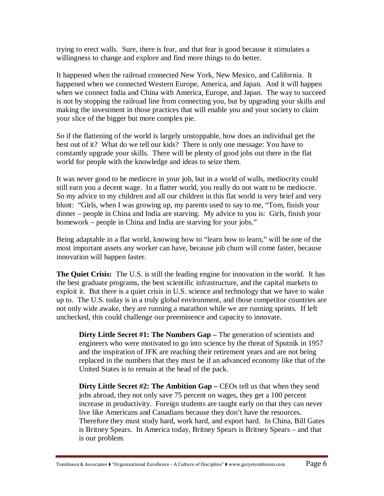trying to erect walls. Sure, there is fear, and that fear is good because it stimulates a willingness to change and explore and find more things to do better.

It happened when the railroad connected New York, New Mexico, and California. It happened when we connected Western Europe, America, and Japan. And it will happen when we connect India and China with America, Europe, and Japan. The way to succeed is not by stopping the railroad line from connecting you, but by upgrading your skills and making the investment in those practices that will enable you and your society to claim your slice of the bigger but more complex pie.

So if the flattening of the world is largely unstoppable, how does an individual get the best out of it? What do we tell our kids? There is only one message: You have to constantly upgrade your skills. There will be plenty of good jobs out there in the flat world for people with the knowledge and ideas to seize them.

It was never good to be mediocre in your job, but in a world of walls, mediocrity could still earn you a decent wage. In a flatter world, you really do not want to be mediocre. So my advice to my children and all our children in this flat world is very brief and very blunt: "Girls, when I was growing up, my parents used to say to me, "Tom, finish your dinner – people in China and India are starving. My advice to you is: Girls, finish your homework – people in China and India are starving for your jobs."

Being adaptable in a flat world, knowing how to "learn how to learn," will be one of the most important assets any worker can have, because job chum will come faster, because innovation will happen faster.

**The Quiet Crisis:** The U.S. is still the leading engine for innovation in the world. It has the best graduate programs, the best scientific infrastructure, and the capital markets to exploit it. But there is a quiet crisis in U.S. science and technology that we have to wake up to. The U.S. today is in a truly global environment, and those competitor countries are not only wide awake, they are running a marathon while we are running sprints. If left unchecked, this could challenge our preeminence and capacity to innovate.

**Dirty Little Secret #1: The Numbers Gap – The generation of scientists and** engineers who were motivated to go into science by the threat of Sputnik in 1957 and the inspiration of JFK are reaching their retirement years and are not being replaced in the numbers that they must be if an advanced economy like that of the United States is to remain at the head of the pack.

**Dirty Little Secret #2: The Ambition Gap – CEOs tell us that when they send** jobs abroad, they not only save 75 percent on wages, they get a 100 percent increase in productivity. Foreign students are taught early on that they can never live like Americans and Canadians because they don't have the resources. Therefore they must study hard, work hard, and export hard. In China, Bill Gates is Britney Spears. In America today, Britney Spears is Britney Spears – and that is our problem.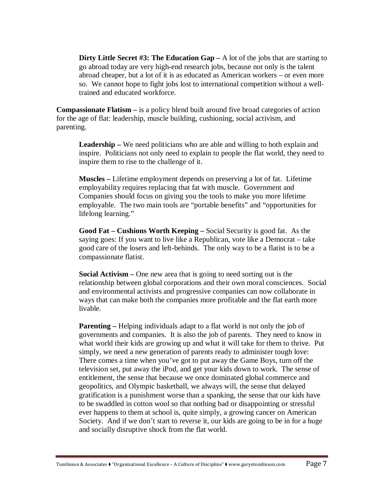**Dirty Little Secret #3: The Education Gap – A** lot of the jobs that are starting to go abroad today are very high-end research jobs, because not only is the talent abroad cheaper, but a lot of it is as educated as American workers – or even more so. We cannot hope to fight jobs lost to international competition without a welltrained and educated workforce.

**Compassionate Flatism –** is a policy blend built around five broad categories of action for the age of flat: leadership, muscle building, cushioning, social activism, and parenting.

**Leadership –** We need politicians who are able and willing to both explain and inspire. Politicians not only need to explain to people the flat world, they need to inspire them to rise to the challenge of it.

**Muscles –** Lifetime employment depends on preserving a lot of fat. Lifetime employability requires replacing that fat with muscle. Government and Companies should focus on giving you the tools to make you more lifetime employable. The two main tools are "portable benefits" and "opportunities for lifelong learning."

**Good Fat – Cushions Worth Keeping –** Social Security is good fat. As the saying goes: If you want to live like a Republican, vote like a Democrat – take good care of the losers and left-behinds. The only way to be a flatist is to be a compassionate flatist.

**Social Activism –** One new area that is going to need sorting out is the relationship between global corporations and their own moral consciences. Social and environmental activists and progressive companies can now collaborate in ways that can make both the companies more profitable and the flat earth more livable.

**Parenting** – Helping individuals adapt to a flat world is not only the job of governments and companies. It is also the job of parents. They need to know in what world their kids are growing up and what it will take for them to thrive. Put simply, we need a new generation of parents ready to administer tough love: There comes a time when you've got to put away the Game Boys, turn off the television set, put away the iPod, and get your kids down to work. The sense of entitlement, the sense that because we once dominated global commerce and geopolitics, and Olympic basketball, we always will, the sense that delayed gratification is a punishment worse than a spanking, the sense that our kids have to be swaddled in cotton wool so that nothing bad or disappointing or stressful ever happens to them at school is, quite simply, a growing cancer on American Society. And if we don't start to reverse it, our kids are going to be in for a huge and socially disruptive shock from the flat world.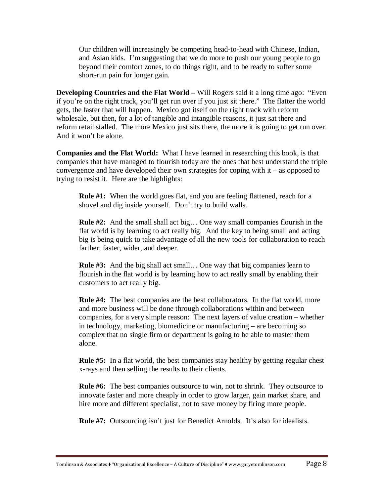Our children will increasingly be competing head-to-head with Chinese, Indian, and Asian kids. I'm suggesting that we do more to push our young people to go beyond their comfort zones, to do things right, and to be ready to suffer some short-run pain for longer gain.

**Developing Countries and the Flat World – Will Rogers said it a long time ago: "Even** if you're on the right track, you'll get run over if you just sit there." The flatter the world gets, the faster that will happen. Mexico got itself on the right track with reform wholesale, but then, for a lot of tangible and intangible reasons, it just sat there and reform retail stalled. The more Mexico just sits there, the more it is going to get run over. And it won't be alone.

**Companies and the Flat World:** What I have learned in researching this book, is that companies that have managed to flourish today are the ones that best understand the triple convergence and have developed their own strategies for coping with it – as opposed to trying to resist it. Here are the highlights:

**Rule #1:** When the world goes flat, and you are feeling flattened, reach for a shovel and dig inside yourself. Don't try to build walls.

**Rule #2:** And the small shall act big… One way small companies flourish in the flat world is by learning to act really big. And the key to being small and acting big is being quick to take advantage of all the new tools for collaboration to reach farther, faster, wider, and deeper.

**Rule #3:** And the big shall act small… One way that big companies learn to flourish in the flat world is by learning how to act really small by enabling their customers to act really big.

**Rule #4:** The best companies are the best collaborators. In the flat world, more and more business will be done through collaborations within and between companies, for a very simple reason: The next layers of value creation – whether in technology, marketing, biomedicine or manufacturing – are becoming so complex that no single firm or department is going to be able to master them alone.

**Rule #5:** In a flat world, the best companies stay healthy by getting regular chest x-rays and then selling the results to their clients.

**Rule #6:** The best companies outsource to win, not to shrink. They outsource to innovate faster and more cheaply in order to grow larger, gain market share, and hire more and different specialist, not to save money by firing more people.

**Rule #7:** Outsourcing isn't just for Benedict Arnolds. It's also for idealists.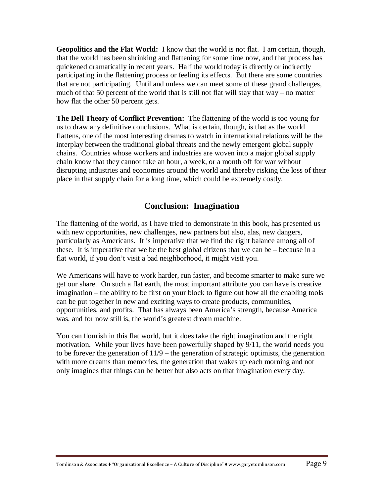**Geopolitics and the Flat World:** I know that the world is not flat. I am certain, though, that the world has been shrinking and flattening for some time now, and that process has quickened dramatically in recent years. Half the world today is directly or indirectly participating in the flattening process or feeling its effects. But there are some countries that are not participating. Until and unless we can meet some of these grand challenges, much of that 50 percent of the world that is still not flat will stay that way – no matter how flat the other 50 percent gets.

**The Dell Theory of Conflict Prevention:** The flattening of the world is too young for us to draw any definitive conclusions. What is certain, though, is that as the world flattens, one of the most interesting dramas to watch in international relations will be the interplay between the traditional global threats and the newly emergent global supply chains. Countries whose workers and industries are woven into a major global supply chain know that they cannot take an hour, a week, or a month off for war without disrupting industries and economies around the world and thereby risking the loss of their place in that supply chain for a long time, which could be extremely costly.

#### **Conclusion: Imagination**

The flattening of the world, as I have tried to demonstrate in this book, has presented us with new opportunities, new challenges, new partners but also, alas, new dangers, particularly as Americans. It is imperative that we find the right balance among all of these. It is imperative that we be the best global citizens that we can be – because in a flat world, if you don't visit a bad neighborhood, it might visit you.

We Americans will have to work harder, run faster, and become smarter to make sure we get our share. On such a flat earth, the most important attribute you can have is creative imagination – the ability to be first on your block to figure out how all the enabling tools can be put together in new and exciting ways to create products, communities, opportunities, and profits. That has always been America's strength, because America was, and for now still is, the world's greatest dream machine.

You can flourish in this flat world, but it does take the right imagination and the right motivation. While your lives have been powerfully shaped by 9/11, the world needs you to be forever the generation of 11/9 – the generation of strategic optimists, the generation with more dreams than memories, the generation that wakes up each morning and not only imagines that things can be better but also acts on that imagination every day.